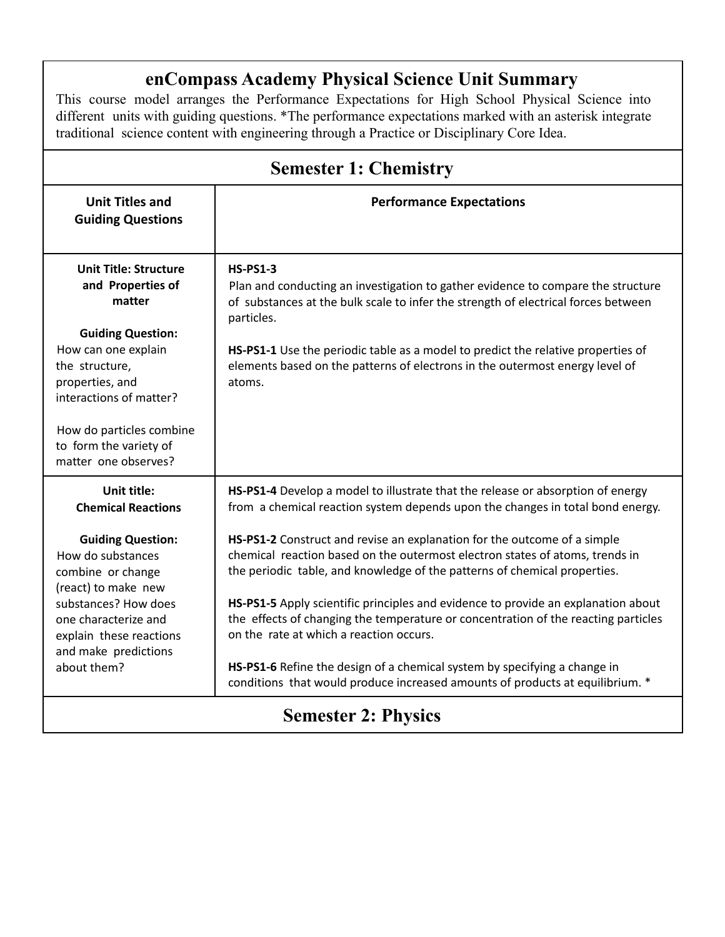## **enCompass Academy Physical Science Unit Summary**

This course model arranges the Performance Expectations for High School Physical Science into different units with guiding questions. \*The performance expectations marked with an asterisk integrate traditional science content with engineering through a Practice or Disciplinary Core Idea.

| <b>Semester 1: Chemistry</b>                                                                                                                                                                 |                                                                                                                                                                                                                                       |  |
|----------------------------------------------------------------------------------------------------------------------------------------------------------------------------------------------|---------------------------------------------------------------------------------------------------------------------------------------------------------------------------------------------------------------------------------------|--|
| <b>Unit Titles and</b><br><b>Guiding Questions</b>                                                                                                                                           | <b>Performance Expectations</b>                                                                                                                                                                                                       |  |
| <b>Unit Title: Structure</b><br>and Properties of<br>matter                                                                                                                                  | <b>HS-PS1-3</b><br>Plan and conducting an investigation to gather evidence to compare the structure<br>of substances at the bulk scale to infer the strength of electrical forces between<br>particles.                               |  |
| <b>Guiding Question:</b><br>How can one explain<br>the structure,<br>properties, and<br>interactions of matter?                                                                              | HS-PS1-1 Use the periodic table as a model to predict the relative properties of<br>elements based on the patterns of electrons in the outermost energy level of<br>atoms.                                                            |  |
| How do particles combine<br>to form the variety of<br>matter one observes?                                                                                                                   |                                                                                                                                                                                                                                       |  |
| <b>Unit title:</b><br><b>Chemical Reactions</b>                                                                                                                                              | HS-PS1-4 Develop a model to illustrate that the release or absorption of energy<br>from a chemical reaction system depends upon the changes in total bond energy.                                                                     |  |
| <b>Guiding Question:</b><br>How do substances<br>combine or change<br>(react) to make new<br>substances? How does<br>one characterize and<br>explain these reactions<br>and make predictions | HS-PS1-2 Construct and revise an explanation for the outcome of a simple<br>chemical reaction based on the outermost electron states of atoms, trends in<br>the periodic table, and knowledge of the patterns of chemical properties. |  |
|                                                                                                                                                                                              | HS-PS1-5 Apply scientific principles and evidence to provide an explanation about<br>the effects of changing the temperature or concentration of the reacting particles<br>on the rate at which a reaction occurs.                    |  |
| about them?                                                                                                                                                                                  | HS-PS1-6 Refine the design of a chemical system by specifying a change in<br>conditions that would produce increased amounts of products at equilibrium. *                                                                            |  |
| <b>Semester 2: Physics</b>                                                                                                                                                                   |                                                                                                                                                                                                                                       |  |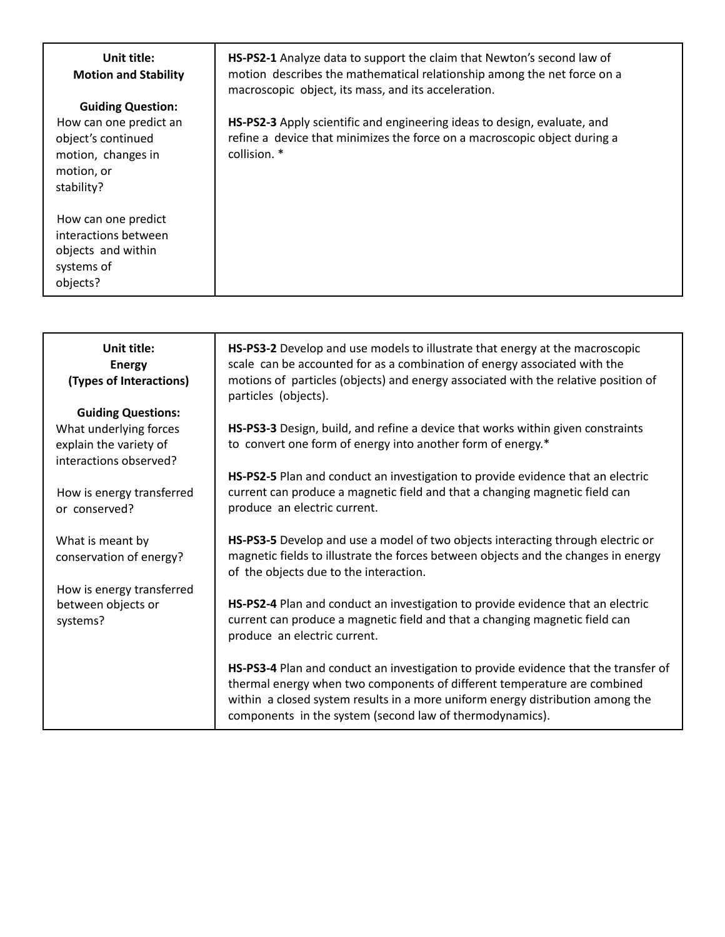## **Unit title: Motion and Stability**

## **Guiding Question:**

How can one predict an object's continued motion, changes in motion, or stability?

How can one predict interactions between objects and within systems of objects?

**HS-PS2-1** Analyze data to support the claim that Newton's second law of motion describes the mathematical relationship among the net force on a macroscopic object, its mass, and its acceleration.

**HS-PS2-3** Apply scientific and engineering ideas to design, evaluate, and refine a device that minimizes the force on a macroscopic object during a collision. \*

| Unit title:<br><b>Energy</b><br>(Types of Interactions) | HS-PS3-2 Develop and use models to illustrate that energy at the macroscopic<br>scale can be accounted for as a combination of energy associated with the<br>motions of particles (objects) and energy associated with the relative position of<br>particles (objects).                                       |
|---------------------------------------------------------|---------------------------------------------------------------------------------------------------------------------------------------------------------------------------------------------------------------------------------------------------------------------------------------------------------------|
| <b>Guiding Questions:</b>                               |                                                                                                                                                                                                                                                                                                               |
| What underlying forces                                  | HS-PS3-3 Design, build, and refine a device that works within given constraints                                                                                                                                                                                                                               |
| explain the variety of<br>interactions observed?        | to convert one form of energy into another form of energy.*                                                                                                                                                                                                                                                   |
|                                                         | HS-PS2-5 Plan and conduct an investigation to provide evidence that an electric                                                                                                                                                                                                                               |
| How is energy transferred                               | current can produce a magnetic field and that a changing magnetic field can                                                                                                                                                                                                                                   |
| or conserved?                                           | produce an electric current.                                                                                                                                                                                                                                                                                  |
|                                                         | HS-PS3-5 Develop and use a model of two objects interacting through electric or                                                                                                                                                                                                                               |
| What is meant by<br>conservation of energy?             | magnetic fields to illustrate the forces between objects and the changes in energy<br>of the objects due to the interaction.                                                                                                                                                                                  |
| How is energy transferred                               |                                                                                                                                                                                                                                                                                                               |
| between objects or<br>systems?                          | HS-PS2-4 Plan and conduct an investigation to provide evidence that an electric<br>current can produce a magnetic field and that a changing magnetic field can<br>produce an electric current.                                                                                                                |
|                                                         | HS-PS3-4 Plan and conduct an investigation to provide evidence that the transfer of<br>thermal energy when two components of different temperature are combined<br>within a closed system results in a more uniform energy distribution among the<br>components in the system (second law of thermodynamics). |